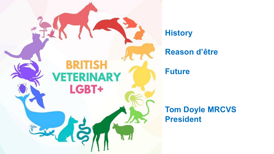

**History** 

### **Reason d'être**

**Future**

**Tom Doyle MRCVS President**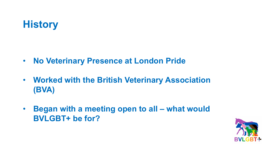# **History**

- **No Veterinary Presence at London Pride**
- **Worked with the British Veterinary Association (BVA)**
- **Began with a meeting open to all – what would BVLGBT+ be for?**

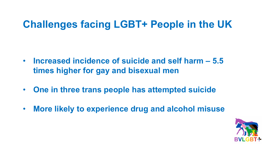# **Challenges facing LGBT+ People in the UK**

- **Increased incidence of suicide and self harm – 5.5 times higher for gay and bisexual men**
- **One in three trans people has attempted suicide**
- **More likely to experience drug and alcohol misuse**

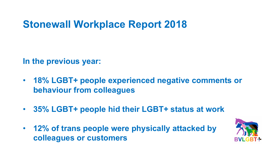# **Stonewall Workplace Report 2018**

**In the previous year:**

- **18% LGBT+ people experienced negative comments or behaviour from colleagues**
- **35% LGBT+ people hid their LGBT+ status at work**
- **12% of trans people were physically attacked by colleagues or customers**

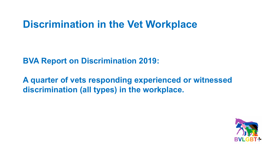# **Discrimination in the Vet Workplace**

**BVA Report on Discrimination 2019:**

**A quarter of vets responding experienced or witnessed discrimination (all types) in the workplace.** 

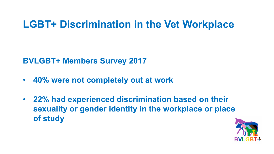# **LGBT+ Discrimination in the Vet Workplace**

**BVLGBT+ Members Survey 2017**

- **40% were not completely out at work**
- **22% had experienced discrimination based on their sexuality or gender identity in the workplace or place of study**

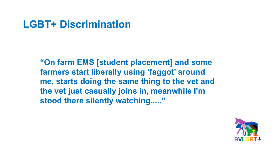# **LGBT+ Discrimination**

**"On farm EMS [student placement] and some farmers start liberally using 'faggot' around me, starts doing the same thing to the vet and the vet just casually joins in, meanwhile I'm stood there silently watching....."**

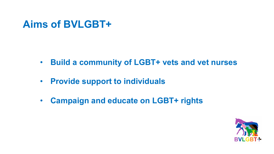## **Aims of BVLGBT+**

- **Build a community of LGBT+ vets and vet nurses**
- **Provide support to individuals**
- **Campaign and educate on LGBT+ rights**

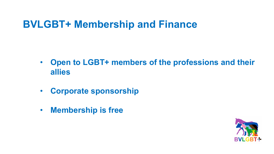# **BVLGBT+ Membership and Finance**

- **Open to LGBT+ members of the professions and their allies**
- **Corporate sponsorship**
- **Membership is free**

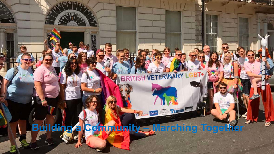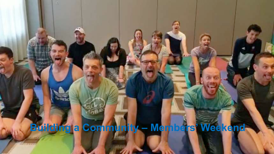**Building a Community – Members' Weekend**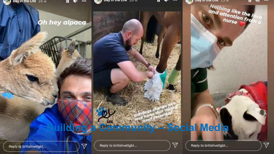





and bay in the city cow

Nothing like the level

. . .

 $\triangledown$ 

### Oh hey alpaca

# **Building a Community – Social Media**

Reply to britishvetigbt...

 $\overline{\triangledown}$ 

Reply to britishvetigbt...

Reply to britishvetigbt...

 $\triangledown$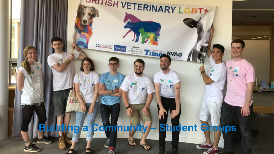# **Building a Community – Student Groups**

**ENSODOARD** Virtuae

**ERITISH VETERINARY LGBT+** 

Time Ryae

**TRA**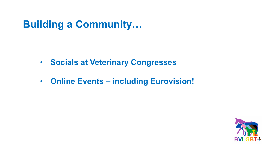**Building a Community…**

- **Socials at Veterinary Congresses**
- **Online Events – including Eurovision!**

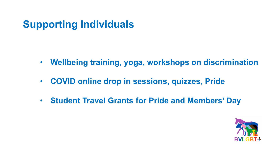# **Supporting Individuals**

- **Wellbeing training, yoga, workshops on discrimination**
- **COVID online drop in sessions, quizzes, Pride**
- **Student Travel Grants for Pride and Members' Day**

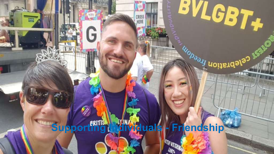# **Supporting Individuals - Friendship**

**ATTA VETERINAL** 

CROSS<br>HERE

G

冒

**BVLGBT+** 

**ESSERIAGED BOOM**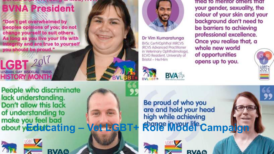# **BVNA President**

"Don't get overwhelmed by peoples opinions of you; do not change yourself to suit others. As long as you live your life with integrity and are true to yourself you should be proud."

**HISTORY MONTH People who discriminate** lack understanding. Don't allow this lack of understanding to



**LGBT** 

LESBIAN GAY BISEXUAL TRANS







Dr Vim Kumaratunga BVSc CertVOphthal MRCVS **(RCVS Advanced Practitioner** in Veterinary Ophthalmology), ECVO Resident, University of Bristol - He/Him





fried to mentor others that

your gender, sexuality, the



Be proud of who you are and hold your head high while achieving make you feel bad<br>about y**Educating – Vet LGBT+ Role Model Campaign** 

RVAG

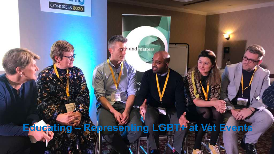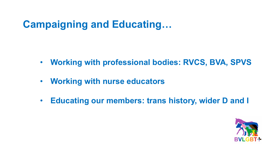# **Campaigning and Educating…**

- **Working with professional bodies: RVCS, BVA, SPVS**
- **Working with nurse educators**
- **Educating our members: trans history, wider D and I**

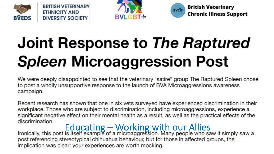





### **British Veterinary Chronic Illness Support**

# **Joint Response to The Raptured Spleen Microaggression Post**

We were deeply disappointed to see that the veterinary "satire" group The Raptured Spleen chose to post a wholly unsupportive response to the launch of BVA Microaggressions awareness campaign.

Recent research has shown that one in six vets surveyed have experienced discrimination in their workplace. Those who are subject to discrimination, including microaggressions, experience a significant negative effect on their mental health as a result, as well as the practical effects of the discrimination.

Instrumenting – Working with our Allies<br>Ironically, this post is itself example of a microaggression. Many people who saw it simply saw a post referencing stereotypical chihuahua behaviour, but for those in affected groups, the implication was clear: your experiences are worth mocking.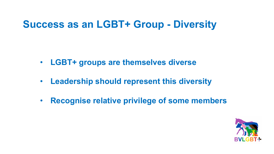# **Success as an LGBT+ Group - Diversity**

- **LGBT+ groups are themselves diverse**
- **Leadership should represent this diversity**
- **Recognise relative privilege of some members**

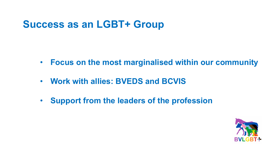# **Success as an LGBT+ Group**

- **Focus on the most marginalised within our community**
- **Work with allies: BVEDS and BCVIS**
- **Support from the leaders of the profession**

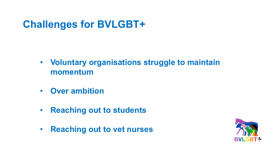# **Challenges for BVLGBT+**

- **Voluntary organisations struggle to maintain momentum**
- **Over ambition**
- **Reaching out to students**
- **Reaching out to vet nurses**

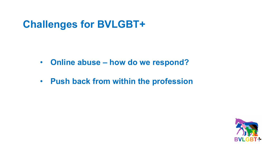# **Challenges for BVLGBT+**

- **Online abuse – how do we respond?**
- **Push back from within the profession**

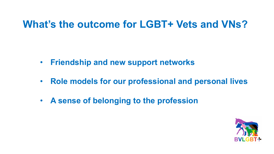## **What's the outcome for LGBT+ Vets and VNs?**

- **Friendship and new support networks**
- **Role models for our professional and personal lives**
- **A sense of belonging to the profession**

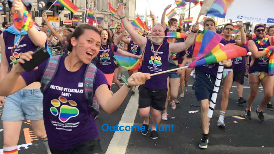

**Outcome - fun!**

GODDARD

v,